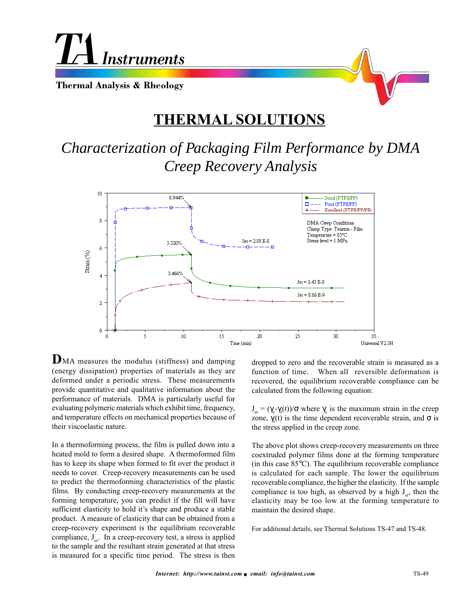

## **THERMAL SOLUTIONS**

*Characterization of Packaging Film Performance by DMA Creep Recovery Analysis*



**D**MA measures the modulus (stiffness) and damping (energy dissipation) properties of materials as they are deformed under a periodic stress. These measurements provide quantitative and qualitative information about the performance of materials. DMA is particularly useful for evaluating polymeric materials which exhibit time, frequency, and temperature effects on mechanical properties because of their viscoelastic nature.

In a thermoforming process, the film is pulled down into a heated mold to form a desired shape. A thermoformed film has to keep its shape when formed to fit over the product it needs to cover. Creep-recovery measurements can be used to predict the thermoforming characteristics of the plastic films. By conducting creep-recovery measurements at the forming temperature, you can predict if the fill will have sufficient elasticity to hold it's shape and produce a stable product. A measure of elasticity that can be obtained from a creep-recovery experiment is the equilibrium recoverable compliance,  $J_{e^r}$ . In a creep-recovery test, a stress is applied to the sample and the resultant strain generated at that stress is measured for a specific time period. The stress is then

dropped to zero and the recoverable strain is measured as a function of time. When all reversible deformation is recovered, the equilibrium recoverable compliance can be calculated from the following equation:

 $J_{\text{er}} = (\gamma_{\text{c}} \gamma_{\text{r}}(t)) / \sigma$  where  $\gamma_{\text{c}}$  is the maximum strain in the creep zone,  $\gamma_r(t)$  is the time dependent recoverable strain, and  $\sigma$  is the stress applied in the creep zone.

The above plot shows creep-recovery measurements on three coextruded polymer films done at the forming temperature (in this case 85°C). The equilibrium recoverable compliance is calculated for each sample. The lower the equilibrium recoverable compliance, the higher the elasticity. If the sample compliance is too high, as observed by a high  $J_{\infty}$ , then the elasticity may be too low at the forming temperature to maintain the desired shape.

For additional details, see Thermal Solutions TS-47 and TS-48.